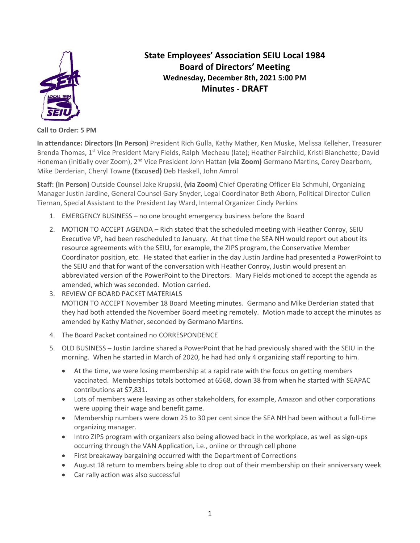

**State Employees' Association SEIU Local 1984 Board of Directors' Meeting Wednesday, December 8th, 2021 5:00 PM Minutes - DRAFT**

**Call to Order: 5 PM**

**In attendance: Directors (In Person)** President Rich Gulla, Kathy Mather, Ken Muske, Melissa Kelleher, Treasurer Brenda Thomas, 1<sup>st</sup> Vice President Mary Fields, Ralph Mecheau (late); Heather Fairchild, Kristi Blanchette; David Honeman (initially over Zoom), 2nd Vice President John Hattan **(via Zoom)** Germano Martins, Corey Dearborn, Mike Derderian, Cheryl Towne **(Excused)** Deb Haskell, John Amrol

**Staff: (In Person)** Outside Counsel Jake Krupski, **(via Zoom)** Chief Operating Officer Ela Schmuhl, Organizing Manager Justin Jardine, General Counsel Gary Snyder, Legal Coordinator Beth Aborn, Political Director Cullen Tiernan, Special Assistant to the President Jay Ward, Internal Organizer Cindy Perkins

- 1. EMERGENCY BUSINESS no one brought emergency business before the Board
- 2. MOTION TO ACCEPT AGENDA Rich stated that the scheduled meeting with Heather Conroy, SEIU Executive VP, had been rescheduled to January. At that time the SEA NH would report out about its resource agreements with the SEIU, for example, the ZIPS program, the Conservative Member Coordinator position, etc. He stated that earlier in the day Justin Jardine had presented a PowerPoint to the SEIU and that for want of the conversation with Heather Conroy, Justin would present an abbreviated version of the PowerPoint to the Directors. Mary Fields motioned to accept the agenda as amended, which was seconded. Motion carried.
- 3. REVIEW OF BOARD PACKET MATERIALS MOTION TO ACCEPT November 18 Board Meeting minutes. Germano and Mike Derderian stated that they had both attended the November Board meeting remotely. Motion made to accept the minutes as amended by Kathy Mather, seconded by Germano Martins.
- 4. The Board Packet contained no CORRESPONDENCE
- 5. OLD BUSINESS Justin Jardine shared a PowerPoint that he had previously shared with the SEIU in the morning. When he started in March of 2020, he had had only 4 organizing staff reporting to him.
	- At the time, we were losing membership at a rapid rate with the focus on getting members vaccinated. Memberships totals bottomed at 6568, down 38 from when he started with SEAPAC contributions at \$7,831.
	- Lots of members were leaving as other stakeholders, for example, Amazon and other corporations were upping their wage and benefit game.
	- Membership numbers were down 25 to 30 per cent since the SEA NH had been without a full-time organizing manager.
	- Intro ZIPS program with organizers also being allowed back in the workplace, as well as sign-ups occurring through the VAN Application, i.e., online or through cell phone
	- First breakaway bargaining occurred with the Department of Corrections
	- August 18 return to members being able to drop out of their membership on their anniversary week
	- Car rally action was also successful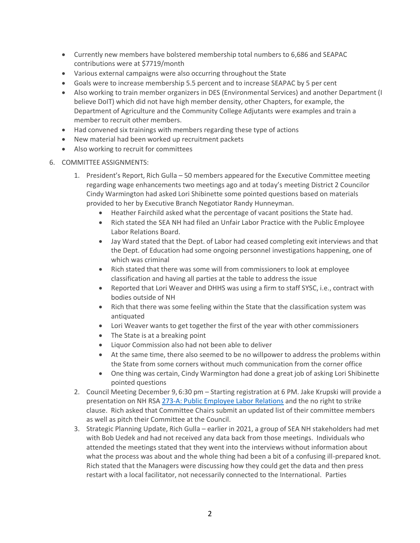- Currently new members have bolstered membership total numbers to 6,686 and SEAPAC contributions were at \$7719/month
- Various external campaigns were also occurring throughout the State
- Goals were to increase membership 5.5 percent and to increase SEAPAC by 5 per cent
- Also working to train member organizers in DES (Environmental Services) and another Department (I believe DoIT) which did not have high member density, other Chapters, for example, the Department of Agriculture and the Community College Adjutants were examples and train a member to recruit other members.
- Had convened six trainings with members regarding these type of actions
- New material had been worked up recruitment packets
- Also working to recruit for committees
- 6. COMMITTEE ASSIGNMENTS:
	- 1. President's Report, Rich Gulla 50 members appeared for the Executive Committee meeting regarding wage enhancements two meetings ago and at today's meeting District 2 Councilor Cindy Warmington had asked Lori Shibinette some pointed questions based on materials provided to her by Executive Branch Negotiator Randy Hunneyman.
		- Heather Fairchild asked what the percentage of vacant positions the State had.
		- Rich stated the SEA NH had filed an Unfair Labor Practice with the Public Employee Labor Relations Board.
		- Jay Ward stated that the Dept. of Labor had ceased completing exit interviews and that the Dept. of Education had some ongoing personnel investigations happening, one of which was criminal
		- Rich stated that there was some will from commissioners to look at employee classification and having all parties at the table to address the issue
		- Reported that Lori Weaver and DHHS was using a firm to staff SYSC, i.e., contract with bodies outside of NH
		- Rich that there was some feeling within the State that the classification system was antiquated
		- Lori Weaver wants to get together the first of the year with other commissioners
		- The State is at a breaking point
		- Liquor Commission also had not been able to deliver
		- At the same time, there also seemed to be no willpower to address the problems within the State from some corners without much communication from the corner office
		- One thing was certain, Cindy Warmington had done a great job of asking Lori Shibinette pointed questions
	- 2. Council Meeting December 9, 6:30 pm Starting registration at 6 PM. Jake Krupski will provide a presentation on NH RSA [273-A: Public Employee Labor Relations](http://gencourt.state.nh.us/rsa/html/NHTOC/NHTOC-XXIII-273-A.htm) and the no right to strike clause. Rich asked that Committee Chairs submit an updated list of their committee members as well as pitch their Committee at the Council.
	- 3. Strategic Planning Update, Rich Gulla earlier in 2021, a group of SEA NH stakeholders had met with Bob Uedek and had not received any data back from those meetings. Individuals who attended the meetings stated that they went into the interviews without information about what the process was about and the whole thing had been a bit of a confusing ill-prepared knot. Rich stated that the Managers were discussing how they could get the data and then press restart with a local facilitator, not necessarily connected to the International. Parties